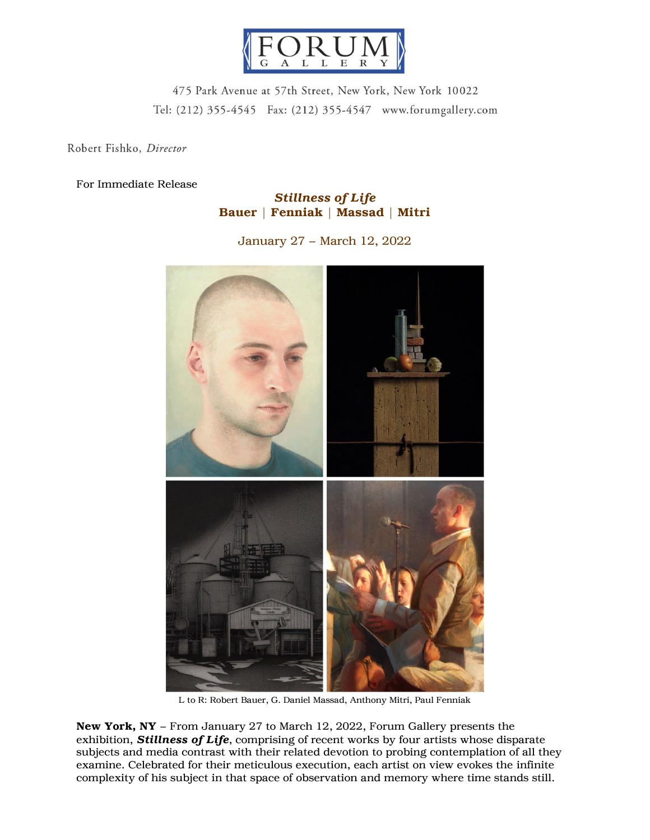

475 Park Avenue at 57th Street, New York, New York 10022 Tel: (212) 355-4545 Fax: (212) 355-4547 www.forumgallery.com

Robert Fishko, Director

## For Immediate Release

## *Stillness of Life* Bauer | Fenniak | Massad | Mitri

January 27 – March 12, 2022



L to R: Robert Bauer, G. Daniel Massad, Anthony Mitri, Paul Fenniak

New York, NY – From January 27 to March 12, 2022, Forum Gallery presents the exhibition, *Stillness of Life*, comprising of recent works by four artists whose disparate subjects and media contrast with their related devotion to probing contemplation of all they examine. Celebrated for their meticulous execution, each artist on view evokes the infinite complexity of his subject in that space of observation and memory where time stands still.